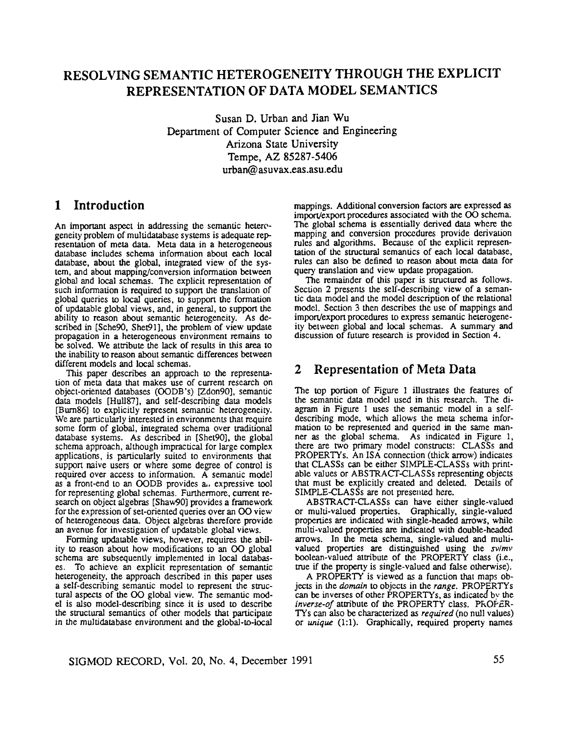# **RESOLVING SEMANTIC HETEROGENEITY THROUGH THE EXPLICIT REPRESENTATION OF DATA MODEL SEMANTICS**

**Susan D. Urban and Jian Wu Department of Computer Science and Engineering Arizona State University**  Tempe, AZ 85287-5406 **urban@ asuvax.eas.asu.edu** 

#### **1 Introduction**

An important aspect in addressing the semantic heterogeneity problem of multidatabase systems is adequate representation of meta data. Meta data in a heterogeneous database includes schema information about each local database, about the global, integrated view of the system, and about mapping/conversion information between global and local schemas. The explicit representation of such information is required to support the translation of global queries to local queries, to support the formation of updatable global views, and, in general, to support the ability to reason about semantic heterogeneity. As described in [Sche90, Shet91], the problem of view update propagation in a heterogeneous environment remains to be solved. We attribute the lack of results in this area to the inability to reason about semantic differences between different models and local schemas.

This paper describes an approach to the representation of meta data that makes use of current research on object-oriented databases (OODB's) [Zdon90], semantic data models [Hull87], and self-describing data models [Burn86] to explicitly represent semantic heterogeneity. We are particularly interested in environments that require some form of global, integrated schema over traditional database systems. As described in [Shet90], the global schema approach, although impractical for large complex applications, is particularly suited to environments that support naive users or where some degree of control is required over access to information. A semantic model as a front-end to an OODB provides a., expressive tool for representing global schemas. Furthermore, current research on object algebras [Shaw90] provides a framework for the expression of set-oriented queries over an OO view of heterogeneous data. Object algebras therefore provide an avenue for investigation of updatable global views.

Forming updatable views, however, requires the ability to reason about how modifications to an OO global schema are subsequently implemented in local databases. To achieve an explicit representation of semantic heterogeneity, the approach described in this paper uses a self-describing semantic model to represent the structural aspects of the OO global view. The semantic model is also model-describing since it is used to describe the structural semantics of other models that participate in the multidatabase environment and the global-to-local mappings. Additional conversion factors are expressed as import/export procedures associated with the OO schema. The global schema is essentially derived data where the mapping and conversion procedures provide derivation rules and algorithms. Because of the explicit representation of the structural semantics of each local database, rules can also be defined to reason about meta data for query translation and view update propagation.

The remainder of this paper is structured as follows. Section 2 presents the self-describing view of a semantic data model and the model description of the relational model. Section 3 then describes the use of mappings and import/export procedures to express semantic heterogeneity between global and local schemas. A summary and discussion of future research is provided in Section 4.

#### **2 Representation of Meta Data**

The top portion of Figure 1 illustrates the features of the semantic data model used in this research. The diagram in Figure 1 uses the semantic model in a selfdescribing mode, which allows the meta schema information to be represented and queried in the same manner as the global schema. As indicated in Figure 1, there are two primary model constructs: CLASSs and PROPERTYs. An ISA connection (thick arrow) indicates that CLASSs can be either SIMPLE-CLASSs with printable values or ABSTRACT-CLASSs representing objects that must be explicitly created and deleted. Details of SIMPLE-CLASSs are not presented here.

ABSTRACT-CLASSs can have either single-valued or multi-valued properties. Graphically, single-valued properties are indicated with single-headed arrows, while multi-valued properties are indicated with double-headed arrows. In the meta schema, single-valued and multivalued properties are distinguished using the *sv/mv*  boolean-valued attribute of the PROPERTY class (i.e., true ff the property is single-valued and false otherwise).

A PROPERTY is viewed as a function that maps objects in the *domain* to objects in the *range*. PROPERTYs can be inverses of other PROPERTYs, as indicated by the *inverse-of* attribute of the PROPERTY class. PROPER-TYs can also be characterized as *required* (no null values) or *unique* (1:1). Graphically, required property names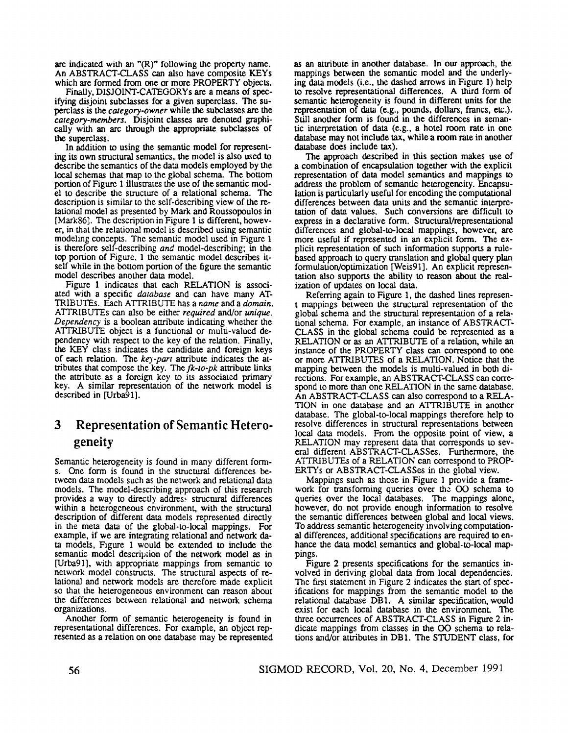are indicated with an " $(R)$ " following the property name. An ABSTRACT-CLASS can also have composite KEYs which are formed from one or more PROPERTY objects.

Finally, DISJOINT-CATEGORYs are a means of specifying disjoint subclasses for a given superclass. The superclass is the *category-owner* while the subclasses are the *category-members.* Disjoint classes are denoted graphically with an arc through the appropriate subclasses of the superclass.

In addition to using the semantic model for representing its own structural semantics, the model is also used to describe the semantics of the data models employed by the local schemas that map to the global schema. The bottom portion of Figure 1 illustrates the use of the semantic model to describe the structure of a relational schema. The description is similar to the self-describing view of the relational model as presented by Mark and Roussopoulos in [Mark86]. The description in Figure 1 is different, however, in that the relational model is described using semantic modeling concepts. The semantic model used in Figure 1 is therefore self-describing *and* model-describing; in the top portion of Figure, 1 the semantic model describes **itself** while in the bottom portion of the figure the semantic model describes another data model.

Figure 1 indicates that each RELATION is associated with a specific *database* and can have many AT-TRIBUTEs. Each ATTRIBUTE has a *name* and a *domain*. ATI'RIBUTEs can also be either *required* and/or *unique. Dependency* is a boolean attribute indicating whether the ATTRIBUTE object is a functional or multi-valued dependency with respect to the key of the relation. Finally, the KEY class indicates the candidate and foreign keys of each relation. The *key-part* attribute indicates the **attributes** that compose the key. *Thefk-to-pk* attribute links the attribute as a foreign key to its associated primary key. A similar representation of the network model is described in [Urba91].

### **3 Representation of Semantic Hetero. geneity**

Semantic heterogeneity is found in many different forms. One form is found in the structural differences between data models such as the network and relational data models. The model-describing approach of this research provides a way to directly address structural differences within a heterogeneous environment, with the structural description of different data models represented directly in the meta data of the global-to-local mappings. For example, if we are integrating relational and network data models, Figure 1 would be extended to include the semantic model description of the network model as in [Urba91], with appropriate mappings from semantic to network model constructs. The structural aspects of relational and network models are therefore made explicit so that the heterogeneous environment can reason about the differences between relational and network schema organizations.

Another form of semantic heterogeneity is found in representational differences. For example, an object represented as a relation on one database may be represented as an attribute in another database. In our approach, the mappings between the semantic model and the underlying data models (i.e., the dashed arrows in Figure 1) help to resolve representational differences. A third form of semantic heterogeneity is found in different units for the representation of data (e.g., pounds, dollars, francs, etc.). Still another form is found in the differences in semantic interpretation of data (e.g., a hotel room rate in one database may not include tax, while a room rate in another database does include tax).

The approach described in this section makes use of a combination of encapsulation together with the explicit representation of data model semantics and mappings to address the problem of semantic heterogeneity. Encapsulation is particularly useful for encoding the computational differences between data units and the semantic interpretation of data values. Such conversions are difficult to express in a declarative form. Structural/representational differences and global-to-local mappings, however, are more useful if represented in an explicit form. The explicit representation of such information supports a rulebased approach to query translation and global query plan formulation/optimization [Weis91]. An explicit representation also supports the ability to reason about the realization of updates on local data.

Referring again to Figure 1, the dashed lines represent mappings between the structural representation of the global schema and the structural representation of a relational schema. For example, an instance of ABSTRACT-CLASS in the global schema could be represented as a RELATION or as an ATTRIBUTE of a relation, while an instance of the PROPERTY class can correspond to one or more ATTRIBUTES of a RELATION. Notice that the mapping between the models is multi-valued in both directions. For example, an ABSTRACT-CLASS can correspond to more than one RELATION in the same database. An ABSTRACT-CLASS can also correspond to a RELA-TION in one database and an ATTRIBUTE in another database. The global-to-local mappings therefore help to resolve differences in structural representations between local data models. From the opposite point of view, a RELATION may represent data that corresponds to several different ABSTRACT-CLASSes. Furthermore, the ATTRIBUTEs of a RELATION can correspond to PROP-ERTYs or ABSTRACT-CLASSes in the global view.

Mappings such as those in Figure 1 provide a framework for transforming queries over the OO schema to queries over the local databases. The mappings alone, however, do not provide enough information to resolve the semantic differences between global and local views. To address semantic heterogeneity involving computational differences, additional specifications are required to enhance the data model semantics and global-to-local mappings.

Figure 2 presents specifications for the semantics involved in deriving global data from local dependencies. The first statement in Figure 2 indicates the start of specifications for mappings from the semantic model to the relational database DB1. A similar specification, would exist for each local database in the environment. The three occurrences of ABSTRACT-CLASS in Figure 2 indicate mappings from classes in the OO schema to relations and/or attributes in DB1. The STUDENT class, for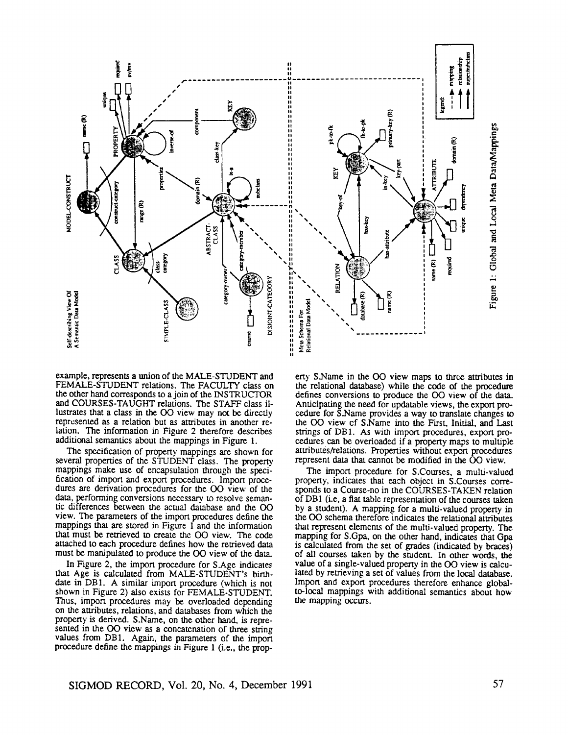

example, represents a union of the MALE-STUDENT and FEMALE-STUDENT relations. The FACULTY class on the other hand corresponds to a join of the INSTRUCTOR and COURSES-TAUGHT relations. The STAFF class illustrates that a class in the OO view may not be directly represented as a relation but as attributes in another relation. The information in Figure 2 therefore describes additional semantics about the mappings in Figure 1.

The specification of property mappings are shown for several properties of the STUDENT class. The property mappings make use of encapsulation through the specification of import and export procedures. Import procedures are derivation procedures for the OO view of the data, performing conversions necessary to resolve semantic differences between the actual database and the OO view. The parameters of the import procedures define the mappings that are stored in Figure 1 and the information that must be retrieved to create the OO view. The code attached to each procedure defines how the retrieved data must be manipulated to produce the OO view of the data.

In Figure 2, the import procedure for S.Age indicates that Age is calculated from MALE-STUDENT's birthdate in DB1. A similar import procedure (which is not shown in Figure 2) also exists for FEMALE-STUDENT. Thus, import procedures may be overloaded depending on the attributes, relations, and databases from which the property is derived. S.Name, on the other hand, is represented in the OO view as a concatenation of three string values from DB1. Again, the parameters of the import procedure define the mappings in Figure 1 (i.e., the property S.Name in the OO view maps to three attributes in the relational database) while the code of the procedure defines conversions to produce the OO view of the data. Anticipating the need for updatable views, the export procedure for S.Name provides a way to translate changes to the OO view ef S.Name into the First, Initial, and Last strings of DB1. As with import procedures, export procedures can be overloaded if a property maps to multiple attributes/relations. Properties without export procedures represent data that cannot be modified in the OO view.

The import procedure for S.Courses, a multi-valued property, indicates that each object in S.Courses corresponds to a Course-no in the COURSES-TAKEN relation of DB1 (i.e, a fiat table representation of the courses taken by a student). A mapping for a multi-valued property in the OO schema therefore indicates the relational attributes that represent elements of the multi-valued property. The mapping for S.Gpa, on the other hand, indicates that Gpa is calculated from the set of grades (indicated by braces) of all courses taken by the student. In other words, the value of a single-valued property in the OO view is calculated by retrieving a set of values from the local database. Import and export procedures therefore enhance globalto-local mappings with additional semantics about how the mapping occurs.

O

,N